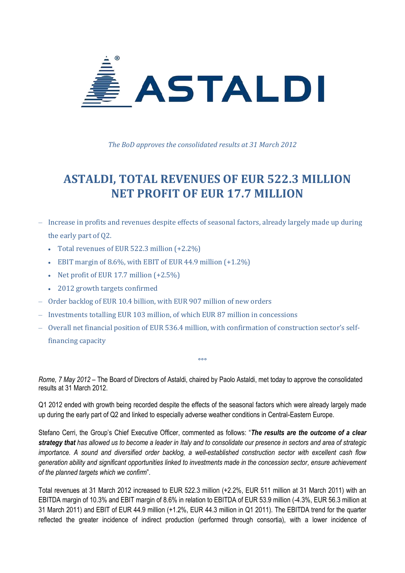

*The BoD approves the consolidated results at 31 March 2012*

# **ASTALDI, TOTAL REVENUES OF EUR 522.3 MILLION NET PROFIT OF EUR 17.7 MILLION**

- Increase in profits and revenues despite effects of seasonal factors, already largely made up during the early part of Q2.
	- Total revenues of EUR 522.3 million (+2.2%)
	- EBIT margin of 8.6%, with EBIT of EUR 44.9 million  $(+1.2\%)$
	- Net profit of EUR 17.7 million  $(+2.5\%)$
	- 2012 growth targets confirmed
- ‒ Order backlog of EUR 10.4 billion, with EUR 907 million of new orders
- ‒ Investments totalling EUR 103 million, of which EUR 87 million in concessions
- ‒ Overall net financial position of EUR 536.4 million, with confirmation of construction sector's selffinancing capacity

*Rome, 7 May 2012* – The Board of Directors of Astaldi, chaired by Paolo Astaldi, met today to approve the consolidated results at 31 March 2012.

 $000$ 

Q1 2012 ended with growth being recorded despite the effects of the seasonal factors which were already largely made up during the early part of Q2 and linked to especially adverse weather conditions in Central-Eastern Europe.

Stefano Cerri, the Group's Chief Executive Officer, commented as follows: "*The results are the outcome of a clear strategy that has allowed us to become a leader in Italy and to consolidate our presence in sectors and area of strategic importance. A sound and diversified order backlog, a well-established construction sector with excellent cash flow generation ability and significant opportunities linked to investments made in the concession sector, ensure achievement of the planned targets which we confirm*".

Total revenues at 31 March 2012 increased to EUR 522.3 million (+2.2%, EUR 511 million at 31 March 2011) with an EBITDA margin of 10.3% and EBIT margin of 8.6% in relation to EBITDA of EUR 53.9 million (-4.3%, EUR 56.3 million at 31 March 2011) and EBIT of EUR 44.9 million (+1.2%, EUR 44.3 million in Q1 2011). The EBITDA trend for the quarter reflected the greater incidence of indirect production (performed through consortia), with a lower incidence of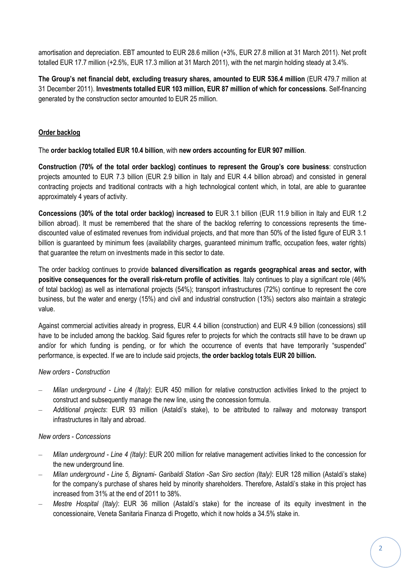amortisation and depreciation. EBT amounted to EUR 28.6 million (+3%, EUR 27.8 million at 31 March 2011). Net profit totalled EUR 17.7 million (+2.5%, EUR 17.3 million at 31 March 2011), with the net margin holding steady at 3.4%.

**The Group's net financial debt, excluding treasury shares, amounted to EUR 536.4 million** (EUR 479.7 million at 31 December 2011). **Investments totalled EUR 103 million, EUR 87 million of which for concessions**. Self-financing generated by the construction sector amounted to EUR 25 million.

## **Order backlog**

The **order backlog totalled EUR 10.4 billion**, with **new orders accounting for EUR 907 million**.

**Construction (70% of the total order backlog) continues to represent the Group's core business**: construction projects amounted to EUR 7.3 billion (EUR 2.9 billion in Italy and EUR 4.4 billion abroad) and consisted in general contracting projects and traditional contracts with a high technological content which, in total, are able to guarantee approximately 4 years of activity.

**Concessions (30% of the total order backlog) increased to** EUR 3.1 billion (EUR 11.9 billion in Italy and EUR 1.2 billion abroad). It must be remembered that the share of the backlog referring to concessions represents the timediscounted value of estimated revenues from individual projects, and that more than 50% of the listed figure of EUR 3.1 billion is guaranteed by minimum fees (availability charges, guaranteed minimum traffic, occupation fees, water rights) that guarantee the return on investments made in this sector to date.

The order backlog continues to provide **balanced diversification as regards geographical areas and sector, with positive consequences for the overall risk-return profile of activities**. Italy continues to play a significant role (46% of total backlog) as well as international projects (54%); transport infrastructures (72%) continue to represent the core business, but the water and energy (15%) and civil and industrial construction (13%) sectors also maintain a strategic value.

Against commercial activities already in progress, EUR 4.4 billion (construction) and EUR 4.9 billion (concessions) still have to be included among the backlog. Said figures refer to projects for which the contracts still have to be drawn up and/or for which funding is pending, or for which the occurrence of events that have temporarily "suspended" performance, is expected. If we are to include said projects, **the order backlog totals EUR 20 billion.**

## *New orders - Construction*

- ‒ *Milan underground - Line 4 (Italy)*: EUR 450 million for relative construction activities linked to the project to construct and subsequently manage the new line, using the concession formula.
- ‒ *Additional projects*: EUR 93 million (Astaldi's stake), to be attributed to railway and motorway transport infrastructures in Italy and abroad.

## *New orders - Concessions*

- ‒ *Milan underground - Line 4 (Italy)*: EUR 200 million for relative management activities linked to the concession for the new underground line.
- ‒ *Milan underground - Line 5, Bignami- Garibaldi Station -San Siro section (Italy)*: EUR 128 million (Astaldi's stake) for the company's purchase of shares held by minority shareholders. Therefore, Astaldi's stake in this project has increased from 31% at the end of 2011 to 38%.
- ‒ *Mestre Hospital (Italy)*: EUR 36 million (Astaldi's stake) for the increase of its equity investment in the concessionaire, Veneta Sanitaria Finanza di Progetto, which it now holds a 34.5% stake in.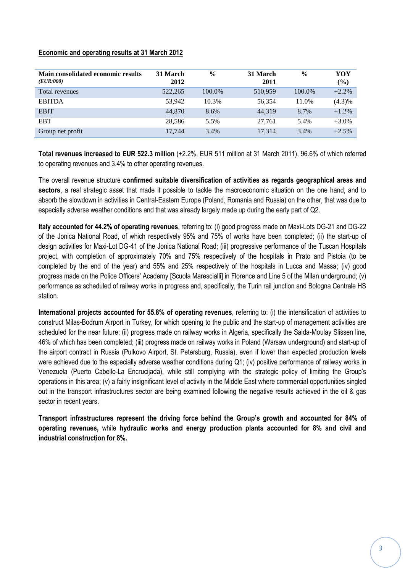## **Economic and operating results at 31 March 2012**

| Main consolidated economic results<br>( <i>EUR</i> /000) | 31 March<br>2012 | $\frac{0}{0}$ | 31 March<br>2011 | $\frac{0}{0}$ | YOY<br>$(\%)$ |
|----------------------------------------------------------|------------------|---------------|------------------|---------------|---------------|
| Total revenues                                           | 522,265          | 100.0%        | 510,959          | 100.0%        | $+2.2%$       |
| <b>EBITDA</b>                                            | 53.942           | 10.3%         | 56,354           | 11.0%         | $(4.3)\%$     |
| <b>EBIT</b>                                              | 44,870           | 8.6%          | 44.319           | 8.7%          | $+1.2%$       |
| <b>EBT</b>                                               | 28,586           | 5.5%          | 27.761           | 5.4%          | $+3.0\%$      |
| Group net profit                                         | 17.744           | 3.4%          | 17.314           | 3.4%          | $+2.5%$       |

**Total revenues increased to EUR 522.3 million** (+2.2%, EUR 511 million at 31 March 2011), 96.6% of which referred to operating revenues and 3.4% to other operating revenues.

The overall revenue structure **confirmed suitable diversification of activities as regards geographical areas and sectors**, a real strategic asset that made it possible to tackle the macroeconomic situation on the one hand, and to absorb the slowdown in activities in Central-Eastern Europe (Poland, Romania and Russia) on the other, that was due to especially adverse weather conditions and that was already largely made up during the early part of Q2.

**Italy accounted for 44.2% of operating revenues**, referring to: (i) good progress made on Maxi-Lots DG-21 and DG-22 of the Jonica National Road, of which respectively 95% and 75% of works have been completed; (ii) the start-up of design activities for Maxi-Lot DG-41 of the Jonica National Road; (iii) progressive performance of the Tuscan Hospitals project, with completion of approximately 70% and 75% respectively of the hospitals in Prato and Pistoia (to be completed by the end of the year) and 55% and 25% respectively of the hospitals in Lucca and Massa; (iv) good progress made on the Police Officers' Academy [Scuola Marescialli] in Florence and Line 5 of the Milan underground; (v) performance as scheduled of railway works in progress and, specifically, the Turin rail junction and Bologna Centrale HS station.

**International projects accounted for 55.8% of operating revenues**, referring to: (i) the intensification of activities to construct Milas-Bodrum Airport in Turkey, for which opening to the public and the start-up of management activities are scheduled for the near future; (ii) progress made on railway works in Algeria, specifically the Saida-Moulay Slissen line, 46% of which has been completed; (iii) progress made on railway works in Poland (Warsaw underground) and start-up of the airport contract in Russia (Pulkovo Airport, St. Petersburg, Russia), even if lower than expected production levels were achieved due to the especially adverse weather conditions during Q1; (iv) positive performance of railway works in Venezuela (Puerto Cabello-La Encrucijada), while still complying with the strategic policy of limiting the Group's operations in this area; (v) a fairly insignificant level of activity in the Middle East where commercial opportunities singled out in the transport infrastructures sector are being examined following the negative results achieved in the oil & gas sector in recent years.

**Transport infrastructures represent the driving force behind the Group's growth and accounted for 84% of operating revenues,** while **hydraulic works and energy production plants accounted for 8% and civil and industrial construction for 8%.**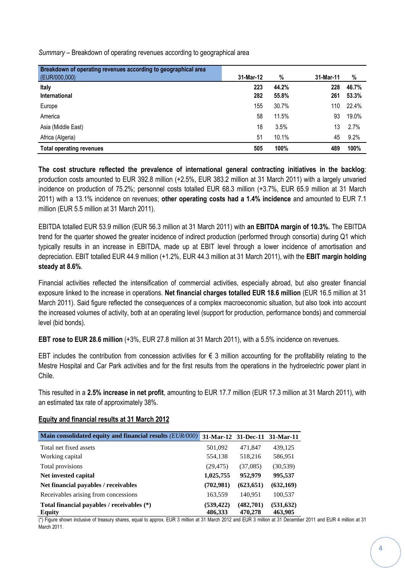*Summary* – Breakdown of operating revenues according to geographical area

| Breakdown of operating revenues according to geographical area |           |       |           |       |
|----------------------------------------------------------------|-----------|-------|-----------|-------|
| (EUR/000,000)                                                  | 31-Mar-12 | %     | 31-Mar-11 | %     |
| Italy                                                          | 223       | 44.2% | 228       | 46.7% |
| <b>International</b>                                           | 282       | 55.8% | 261       | 53.3% |
| Europe                                                         | 155       | 30.7% | 110       | 22.4% |
| America                                                        | 58        | 11.5% | 93        | 19.0% |
| Asia (Middle East)                                             | 18        | 3.5%  | 13        | 2.7%  |
| Africa (Algeria)                                               | 51        | 10.1% | 45        | 9.2%  |
| <b>Total operating revenues</b>                                | 505       | 100%  | 489       | 100%  |

**The cost structure reflected the prevalence of international general contracting initiatives in the backlog**: production costs amounted to EUR 392.8 million (+2.5%, EUR 383.2 million at 31 March 2011) with a largely unvaried incidence on production of 75.2%; personnel costs totalled EUR 68.3 million (+3.7%, EUR 65.9 million at 31 March 2011) with a 13.1% incidence on revenues; **other operating costs had a 1.4% incidence** and amounted to EUR 7.1 million (EUR 5.5 million at 31 March 2011).

EBITDA totalled EUR 53.9 million (EUR 56.3 million at 31 March 2011) with **an EBITDA margin of 10.3%.** The EBITDA trend for the quarter showed the greater incidence of indirect production (performed through consortia) during Q1 which typically results in an increase in EBITDA, made up at EBIT level through a lower incidence of amortisation and depreciation. EBIT totalled EUR 44.9 million (+1.2%, EUR 44.3 million at 31 March 2011), with the **EBIT margin holding steady at 8.6%**.

Financial activities reflected the intensification of commercial activities, especially abroad, but also greater financial exposure linked to the increase in operations. **Net financial charges totalled EUR 18.6 million** (EUR 16.5 million at 31 March 2011). Said figure reflected the consequences of a complex macroeconomic situation, but also took into account the increased volumes of activity, both at an operating level (support for production, performance bonds) and commercial level (bid bonds).

**EBT rose to EUR 28.6 million** (+3%, EUR 27.8 million at 31 March 2011), with a 5.5% incidence on revenues.

EBT includes the contribution from concession activities for  $\epsilon$  3 million accounting for the profitability relating to the Mestre Hospital and Car Park activities and for the first results from the operations in the hydroelectric power plant in Chile.

This resulted in a **2.5% increase in net profit**, amounting to EUR 17.7 million (EUR 17.3 million at 31 March 2011), with an estimated tax rate of approximately 38%.

## **Equity and financial results at 31 March 2012**

| Main consolidated equity and financial results (EUR/000)    | 31-Mar-12 31-Dec-11 31-Mar-11 |                      |                       |
|-------------------------------------------------------------|-------------------------------|----------------------|-----------------------|
| Total net fixed assets                                      | 501,092                       | 471,847              | 439,125               |
| Working capital                                             | 554,138                       | 518,216              | 586,951               |
| Total provisions                                            | (29, 475)                     | (37,085)             | (30, 539)             |
| Net invested capital                                        | 1,025,755                     | 952,979              | 995,537               |
| Net financial payables / receivables                        | (702,981)                     | (623, 651)           | (632, 169)            |
| Receivables arising from concessions                        | 163,559                       | 140.951              | 100,537               |
| Total financial payables / receivables (*)<br><b>Equity</b> | (539, 422)<br>486,333         | (482,701)<br>470,278 | (531, 632)<br>463,905 |

(\*) Figure shown inclusive of treasury shares, equal to approx. EUR 3 million at 31 March 2012 and EUR 3 million at 31 December 2011 and EUR 4 million at 31 March 2011.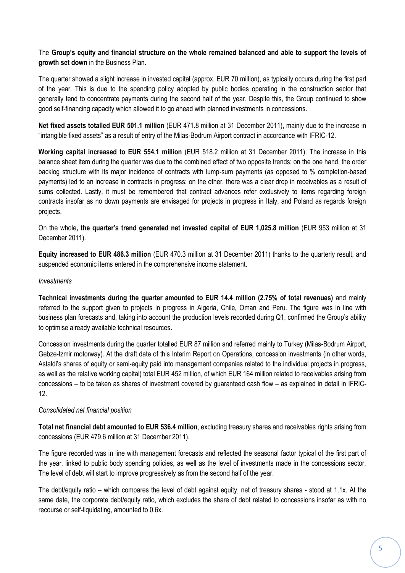The **Group's equity and financial structure on the whole remained balanced and able to support the levels of growth set down** in the Business Plan.

The quarter showed a slight increase in invested capital (approx. EUR 70 million), as typically occurs during the first part of the year. This is due to the spending policy adopted by public bodies operating in the construction sector that generally tend to concentrate payments during the second half of the year. Despite this, the Group continued to show good self-financing capacity which allowed it to go ahead with planned investments in concessions.

**Net fixed assets totalled EUR 501.1 million** (EUR 471.8 million at 31 December 2011), mainly due to the increase in "intangible fixed assets" as a result of entry of the Milas-Bodrum Airport contract in accordance with IFRIC-12.

**Working capital increased to EUR 554.1 million** (EUR 518.2 million at 31 December 2011). The increase in this balance sheet item during the quarter was due to the combined effect of two opposite trends: on the one hand, the order backlog structure with its major incidence of contracts with lump-sum payments (as opposed to % completion-based payments) led to an increase in contracts in progress; on the other, there was a clear drop in receivables as a result of sums collected. Lastly, it must be remembered that contract advances refer exclusively to items regarding foreign contracts insofar as no down payments are envisaged for projects in progress in Italy, and Poland as regards foreign projects.

On the whole**, the quarter's trend generated net invested capital of EUR 1,025.8 million** (EUR 953 million at 31 December 2011).

**Equity increased to EUR 486.3 million** (EUR 470.3 million at 31 December 2011) thanks to the quarterly result, and suspended economic items entered in the comprehensive income statement.

#### *Investments*

**Technical investments during the quarter amounted to EUR 14.4 million (2.75% of total revenues)** and mainly referred to the support given to projects in progress in Algeria, Chile, Oman and Peru. The figure was in line with business plan forecasts and, taking into account the production levels recorded during Q1, confirmed the Group's ability to optimise already available technical resources.

Concession investments during the quarter totalled EUR 87 million and referred mainly to Turkey (Milas-Bodrum Airport, Gebze-Izmir motorway). At the draft date of this Interim Report on Operations, concession investments (in other words, Astaldi's shares of equity or semi-equity paid into management companies related to the individual projects in progress, as well as the relative working capital) total EUR 452 million, of which EUR 164 million related to receivables arising from concessions – to be taken as shares of investment covered by guaranteed cash flow – as explained in detail in IFRIC-12.

#### *Consolidated net financial position*

**Total net financial debt amounted to EUR 536.4 million**, excluding treasury shares and receivables rights arising from concessions (EUR 479.6 million at 31 December 2011).

The figure recorded was in line with management forecasts and reflected the seasonal factor typical of the first part of the year, linked to public body spending policies, as well as the level of investments made in the concessions sector. The level of debt will start to improve progressively as from the second half of the year.

The debt/equity ratio – which compares the level of debt against equity, net of treasury shares - stood at 1.1x. At the same date, the corporate debt/equity ratio, which excludes the share of debt related to concessions insofar as with no recourse or self-liquidating, amounted to 0.6x.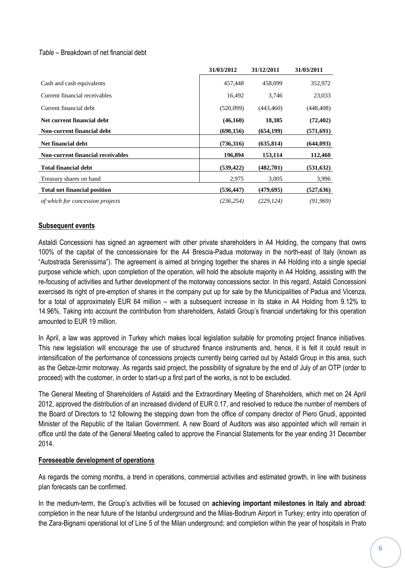### *Table –* Breakdown of net financial debt

|                                     | 31/03/2012 | 31/12/2011 | 31/03/2011 |
|-------------------------------------|------------|------------|------------|
| Cash and cash equivalents           | 457,448    | 458,099    | 352,972    |
| Current financial receivables       | 16,492     | 3,746      | 23,033     |
| Current financial debt              | (520,099)  | (443, 460) | (448, 408) |
| Net current financial debt          | (46,160)   | 18,385     | (72, 402)  |
| Non-current financial debt          | (690, 156) | (654, 199) | (571,691)  |
| Net financial debt                  | (736, 316) | (635, 814) | (644,093)  |
| Non-current financial receivables   | 196,894    | 153,114    | 112,460    |
| <b>Total financial debt</b>         | (539, 422) | (482,701)  | (531, 632) |
| Treasury shares on hand             | 2,975      | 3,005      | 3,996      |
| <b>Total net financial position</b> | (536, 447) | (479, 695) | (527, 636) |
| of which for concession projects    | (236.254)  | (229.124)  | (91, 969)  |

### **Subsequent events**

Astaldi Concessioni has signed an agreement with other private shareholders in A4 Holding, the company that owns 100% of the capital of the concessionaire for the A4 Brescia-Padua motorway in the north-east of Italy (known as "Autostrada Serenissima"). The agreement is aimed at bringing together the shares in A4 Holding into a single special purpose vehicle which, upon completion of the operation, will hold the absolute majority in A4 Holding, assisting with the re-focusing of activities and further development of the motorway concessions sector. In this regard, Astaldi Concessioni exercised its right of pre-emption of shares in the company put up for sale by the Municipalities of Padua and Vicenza, for a total of approximately EUR 64 million – with a subsequent increase in its stake in A4 Holding from 9.12% to 14.96%. Taking into account the contribution from shareholders, Astaldi Group's financial undertaking for this operation amounted to EUR 19 million.

In April, a law was approved in Turkey which makes local legislation suitable for promoting project finance initiatives. This new legislation will encourage the use of structured finance instruments and, hence, it is felt it could result in intensification of the performance of concessions projects currently being carried out by Astaldi Group in this area, such as the Gebze-Izmir motorway. As regards said project, the possibility of signature by the end of July of an OTP (order to proceed) with the customer, in order to start-up a first part of the works, is not to be excluded.

The General Meeting of Shareholders of Astaldi and the Extraordinary Meeting of Shareholders, which met on 24 April 2012, approved the distribution of an increased dividend of EUR 0.17, and resolved to reduce the number of members of the Board of Directors to 12 following the stepping down from the office of company director of Piero Gnudi, appointed Minister of the Republic of the Italian Government. A new Board of Auditors was also appointed which will remain in office until the date of the General Meeting called to approve the Financial Statements for the year ending 31 December 2014.

#### **Foreseeable development of operations**

As regards the coming months, a trend in operations, commercial activities and estimated growth, in line with business plan forecasts can be confirmed.

In the medium-term, the Group's activities will be focused on **achieving important milestones in Italy and abroad**: completion in the near future of the Istanbul underground and the Milas-Bodrum Airport in Turkey; entry into operation of the Zara-Bignami operational lot of Line 5 of the Milan underground; and completion within the year of hospitals in Prato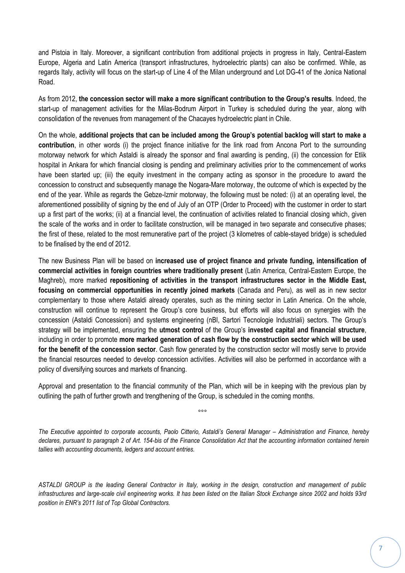and Pistoia in Italy. Moreover, a significant contribution from additional projects in progress in Italy, Central-Eastern Europe, Algeria and Latin America (transport infrastructures, hydroelectric plants) can also be confirmed. While, as regards Italy, activity will focus on the start-up of Line 4 of the Milan underground and Lot DG-41 of the Jonica National Road.

As from 2012, **the concession sector will make a more significant contribution to the Group's results**. Indeed, the start-up of management activities for the Milas-Bodrum Airport in Turkey is scheduled during the year, along with consolidation of the revenues from management of the Chacayes hydroelectric plant in Chile.

On the whole, **additional projects that can be included among the Group's potential backlog will start to make a contribution**, in other words (i) the project finance initiative for the link road from Ancona Port to the surrounding motorway network for which Astaldi is already the sponsor and final awarding is pending, (ii) the concession for Etlik hospital in Ankara for which financial closing is pending and preliminary activities prior to the commencement of works have been started up; (iii) the equity investment in the company acting as sponsor in the procedure to award the concession to construct and subsequently manage the Nogara-Mare motorway, the outcome of which is expected by the end of the year. While as regards the Gebze-Izmir motorway, the following must be noted: (i) at an operating level, the aforementioned possibility of signing by the end of July of an OTP (Order to Proceed) with the customer in order to start up a first part of the works; (ii) at a financial level, the continuation of activities related to financial closing which, given the scale of the works and in order to facilitate construction, will be managed in two separate and consecutive phases; the first of these, related to the most remunerative part of the project (3 kilometres of cable-stayed bridge) is scheduled to be finalised by the end of 2012.

The new Business Plan will be based on **increased use of project finance and private funding, intensification of commercial activities in foreign countries where traditionally present** (Latin America, Central-Eastern Europe, the Maghreb), more marked **repositioning of activities in the transport infrastructures sector in the Middle East, focusing on commercial opportunities in recently joined markets** (Canada and Peru), as well as in new sector complementary to those where Astaldi already operates, such as the mining sector in Latin America. On the whole, construction will continue to represent the Group's core business, but efforts will also focus on synergies with the concession (Astaldi Concessioni) and systems engineering (nBI, Sartori Tecnologie Industriali) sectors. The Group's strategy will be implemented, ensuring the **utmost control** of the Group's **invested capital and financial structure**, including in order to promote **more marked generation of cash flow by the construction sector which will be used for the benefit of the concession sector**. Cash flow generated by the construction sector will mostly serve to provide the financial resources needed to develop concession activities. Activities will also be performed in accordance with a policy of diversifying sources and markets of financing.

Approval and presentation to the financial community of the Plan, which will be in keeping with the previous plan by outlining the path of further growth and trengthening of the Group, is scheduled in the coming months.

°°°

*The Executive appointed to corporate accounts, Paolo Citterio, Astaldi's General Manager – Administration and Finance, hereby declares, pursuant to paragraph 2 of Art. 154-bis of the Finance Consolidation Act that the accounting information contained herein tallies with accounting documents, ledgers and account entries.*

*ASTALDI GROUP is the leading General Contractor in Italy, working in the design, construction and management of public infrastructures and large-scale civil engineering works. It has been listed on the Italian Stock Exchange since 2002 and holds 93rd position in ENR's 2011 list of Top Global Contractors.*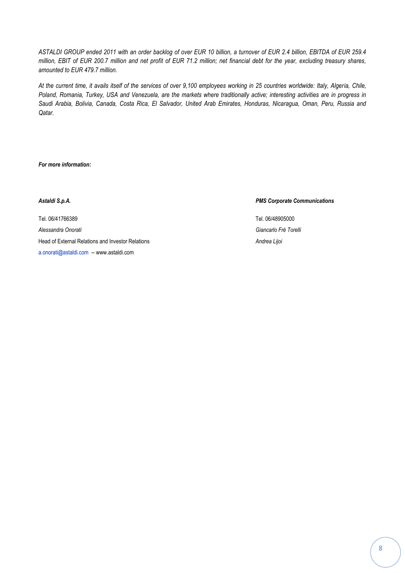*ASTALDI GROUP ended 2011 with an order backlog of over EUR 10 billion, a turnover of EUR 2.4 billion, EBITDA of EUR 259.4 million, EBIT of EUR 200.7 million and net profit of EUR 71.2 million; net financial debt for the year, excluding treasury shares, amounted to EUR 479.7 million.* 

*At the current time, it avails itself of the services of over 9,100 employees working in 25 countries worldwide: Italy, Algeria, Chile, Poland, Romania, Turkey, USA and Venezuela, are the markets where traditionally active; interesting activities are in progress in Saudi Arabia, Bolivia, Canada, Costa Rica, El Salvador, United Arab Emirates, Honduras, Nicaragua, Oman, Peru, Russia and Qatar.*

*For more information:*

Tel. 06/41766389 Tel. 06/48905000 *Alessandra Onorati Giancarlo Frè Torelli* Head of External Relations and Investor Relations *Andrea Lijoi* [a.onorati@astaldi.com](mailto:a.onorati@astaldi.com) -- www.astaldi.com

#### *Astaldi S.p.A. PMS Corporate Communications*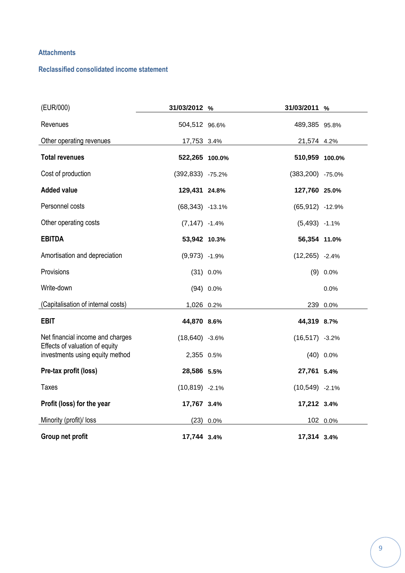## **Attachments**

## **Reclassified consolidated income statement**

| (EUR/000)                                                         | 31/03/2012 %      |             | 31/03/2011 %       |             |
|-------------------------------------------------------------------|-------------------|-------------|--------------------|-------------|
| Revenues                                                          | 504,512 96.6%     |             | 489,385 95.8%      |             |
| Other operating revenues                                          | 17,753 3.4%       |             | 21,574 4.2%        |             |
| <b>Total revenues</b>                                             | 522,265 100.0%    |             | 510,959 100.0%     |             |
| Cost of production                                                | (392,833) -75.2%  |             | (383,200) -75.0%   |             |
| <b>Added value</b>                                                | 129,431 24.8%     |             | 127,760 25.0%      |             |
| Personnel costs                                                   | $(68,343)$ -13.1% |             | $(65, 912)$ -12.9% |             |
| Other operating costs                                             | $(7, 147) -1.4%$  |             | $(5,493)$ -1.1%    |             |
| <b>EBITDA</b>                                                     | 53,942 10.3%      |             | 56,354 11.0%       |             |
| Amortisation and depreciation                                     | $(9,973)$ -1.9%   |             | $(12,265) -2.4%$   |             |
| Provisions                                                        |                   | $(31)$ 0.0% |                    | $(9) 0.0\%$ |
| Write-down                                                        |                   | $(94)$ 0.0% |                    | 0.0%        |
| (Capitalisation of internal costs)                                | 1,026 0.2%        |             |                    | 239 0.0%    |
| <b>EBIT</b>                                                       | 44,870 8.6%       |             | 44,319 8.7%        |             |
| Net financial income and charges                                  | $(18,640)$ -3.6%  |             | $(16, 517) -3.2%$  |             |
| Effects of valuation of equity<br>investments using equity method | 2,355 0.5%        |             |                    | $(40)$ 0.0% |
| Pre-tax profit (loss)                                             | 28,586 5.5%       |             | 27,761 5.4%        |             |
| <b>Taxes</b>                                                      | $(10, 819) -2.1%$ |             | $(10,549) -2.1%$   |             |
| Profit (loss) for the year                                        | 17,767 3.4%       |             | 17,212 3.4%        |             |
| Minority (profit)/ loss                                           |                   | $(23)$ 0.0% |                    | 102 0.0%    |
| Group net profit                                                  | 17,744 3.4%       |             | 17,314 3.4%        |             |